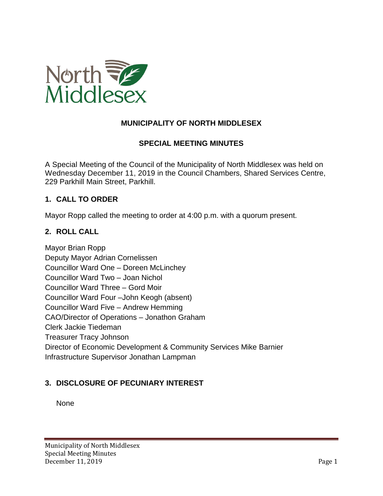

## **MUNICIPALITY OF NORTH MIDDLESEX**

### **SPECIAL MEETING MINUTES**

A Special Meeting of the Council of the Municipality of North Middlesex was held on Wednesday December 11, 2019 in the Council Chambers, Shared Services Centre, 229 Parkhill Main Street, Parkhill.

### **1. CALL TO ORDER**

Mayor Ropp called the meeting to order at 4:00 p.m. with a quorum present.

### **2. ROLL CALL**

Mayor Brian Ropp Deputy Mayor Adrian Cornelissen Councillor Ward One – Doreen McLinchey Councillor Ward Two – Joan Nichol Councillor Ward Three – Gord Moir Councillor Ward Four –John Keogh (absent) Councillor Ward Five – Andrew Hemming CAO/Director of Operations – Jonathon Graham Clerk Jackie Tiedeman Treasurer Tracy Johnson Director of Economic Development & Community Services Mike Barnier Infrastructure Supervisor Jonathan Lampman

### **3. DISCLOSURE OF PECUNIARY INTEREST**

None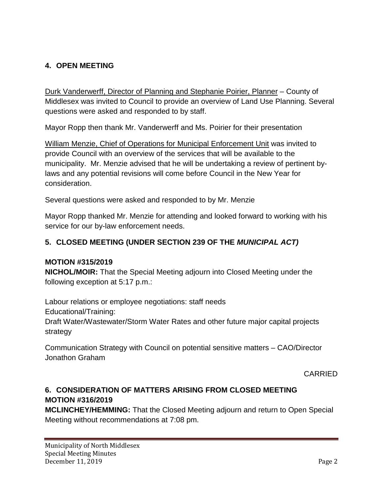# **4. OPEN MEETING**

Durk Vanderwerff, Director of Planning and Stephanie Poirier, Planner – County of Middlesex was invited to Council to provide an overview of Land Use Planning. Several questions were asked and responded to by staff.

Mayor Ropp then thank Mr. Vanderwerff and Ms. Poirier for their presentation

William Menzie, Chief of Operations for Municipal Enforcement Unit was invited to provide Council with an overview of the services that will be available to the municipality. Mr. Menzie advised that he will be undertaking a review of pertinent bylaws and any potential revisions will come before Council in the New Year for consideration.

Several questions were asked and responded to by Mr. Menzie

Mayor Ropp thanked Mr. Menzie for attending and looked forward to working with his service for our by-law enforcement needs.

## **5. CLOSED MEETING (UNDER SECTION 239 OF THE** *MUNICIPAL ACT)*

### **MOTION #315/2019**

**NICHOL/MOIR:** That the Special Meeting adjourn into Closed Meeting under the following exception at 5:17 p.m.:

Labour relations or employee negotiations: staff needs Educational/Training: Draft Water/Wastewater/Storm Water Rates and other future major capital projects strategy

Communication Strategy with Council on potential sensitive matters – CAO/Director Jonathon Graham

CARRIED

# **6. CONSIDERATION OF MATTERS ARISING FROM CLOSED MEETING MOTION #316/2019**

**MCLINCHEY/HEMMING:** That the Closed Meeting adjourn and return to Open Special Meeting without recommendations at 7:08 pm.